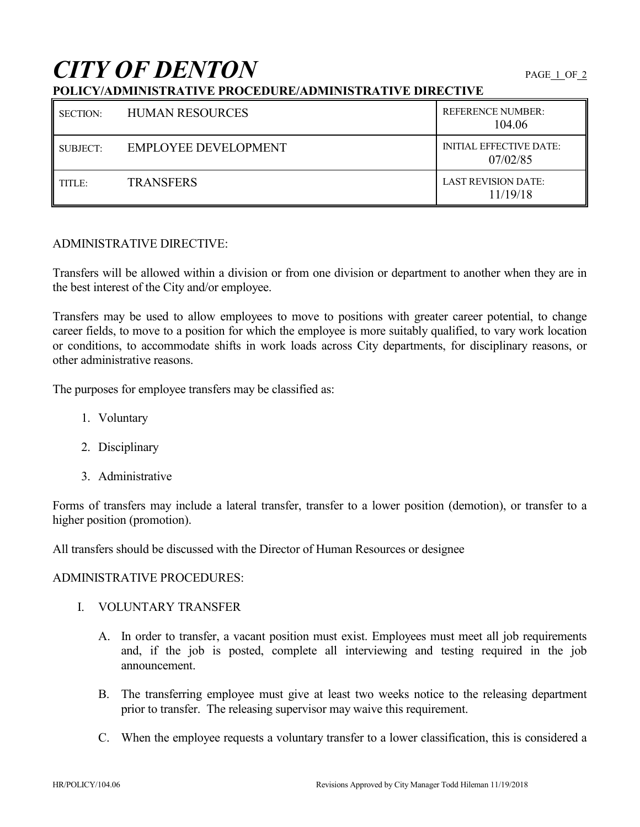# *CITY OF DENTON* PAGE 1 OF 2

# **POLICY/ADMINISTRATIVE PROCEDURE/ADMINISTRATIVE DIRECTIVE**

| <b>SECTION:</b> | <b>HUMAN RESOURCES</b>      | <b>REFERENCE NUMBER:</b><br>104.06         |
|-----------------|-----------------------------|--------------------------------------------|
| SUBJECT:        | <b>EMPLOYEE DEVELOPMENT</b> | <b>INITIAL EFFECTIVE DATE:</b><br>07/02/85 |
| TITLE:          | <b>TRANSFERS</b>            | <b>LAST REVISION DATE:</b><br>11/19/18     |

### ADMINISTRATIVE DIRECTIVE:

Transfers will be allowed within a division or from one division or department to another when they are in the best interest of the City and/or employee.

Transfers may be used to allow employees to move to positions with greater career potential, to change career fields, to move to a position for which the employee is more suitably qualified, to vary work location or conditions, to accommodate shifts in work loads across City departments, for disciplinary reasons, or other administrative reasons.

The purposes for employee transfers may be classified as:

- 1. Voluntary
- 2. Disciplinary
- 3. Administrative

Forms of transfers may include a lateral transfer, transfer to a lower position (demotion), or transfer to a higher position (promotion).

All transfers should be discussed with the Director of Human Resources or designee

#### ADMINISTRATIVE PROCEDURES:

- I. VOLUNTARY TRANSFER
	- A. In order to transfer, a vacant position must exist. Employees must meet all job requirements and, if the job is posted, complete all interviewing and testing required in the job announcement.
	- B. The transferring employee must give at least two weeks notice to the releasing department prior to transfer. The releasing supervisor may waive this requirement.
	- C. When the employee requests a voluntary transfer to a lower classification, this is considered a